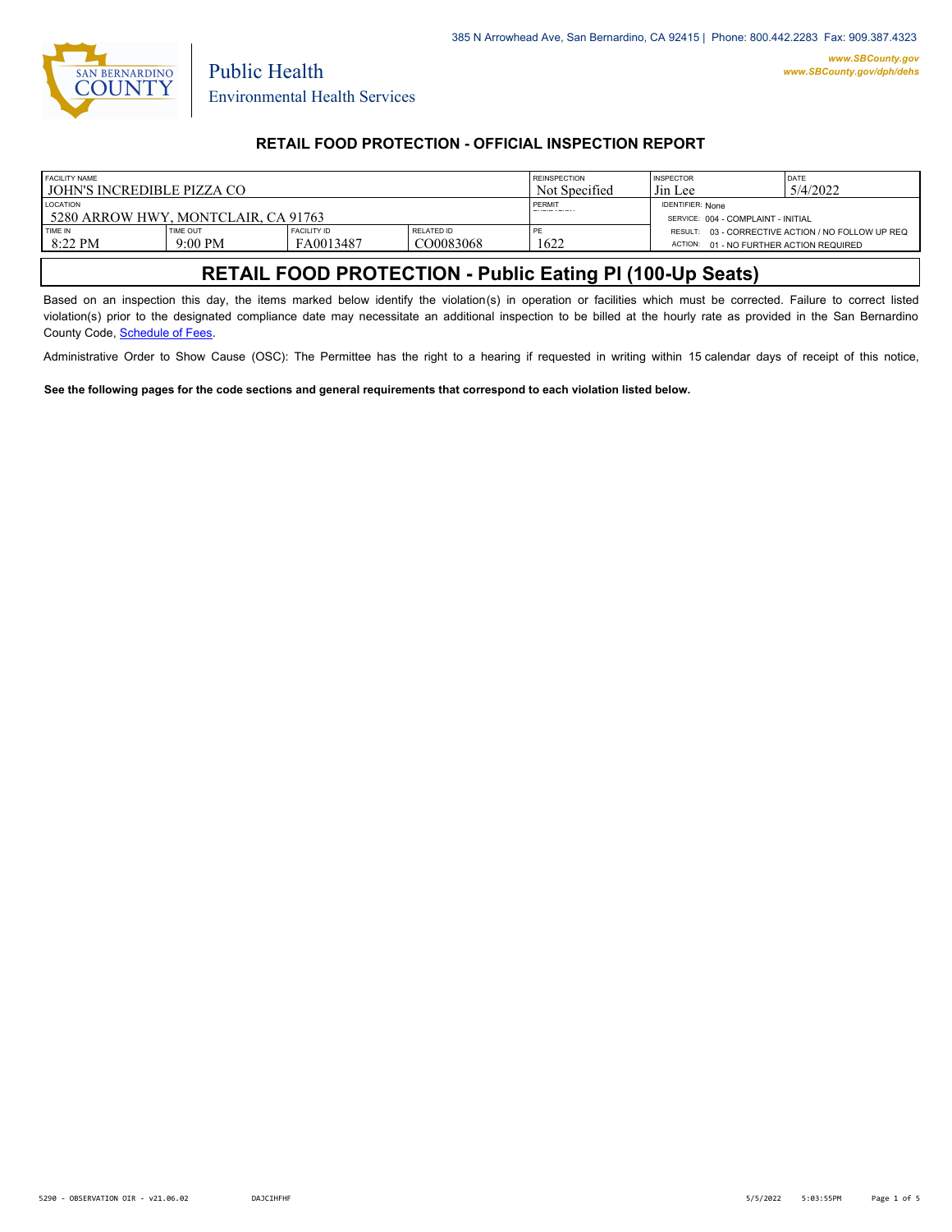

Public Health

## **RETAIL FOOD PROTECTION - OFFICIAL INSPECTION REPORT**

| <b>FACILITY NAME</b>                |                    |               | <b>INSPECTOR</b>                   | DATE                                    |                                                   |
|-------------------------------------|--------------------|---------------|------------------------------------|-----------------------------------------|---------------------------------------------------|
| LIOHN'S INCREDIBLE PIZZA CO-        |                    | Not Specified | Jin Lee                            | 5/4/2022                                |                                                   |
| <b>LOCATION</b>                     |                    | PERMIT        | <b>IDENTIFIER: None</b>            |                                         |                                                   |
| 5280 ARROW HWY, MONTCLAIR, CA 91763 |                    |               | SERVICE: 004 - COMPLAINT - INITIAL |                                         |                                                   |
| <b>TIME OUT</b>                     | <b>FACILITY ID</b> | RELATED ID    | PE                                 |                                         | RESULT: 03 - CORRECTIVE ACTION / NO FOLLOW UP REQ |
| $9:00 \text{ PM}$                   | FA0013487          | CO0083068     | 1622                               | ACTION: 01 - NO FURTHER ACTION REQUIRED |                                                   |
|                                     |                    |               |                                    | <b>REINSPECTION</b>                     |                                                   |

# **RETAIL FOOD PROTECTION - Public Eating Pl (100-Up Seats)**

Based on an inspection this day, the items marked below identify the violation(s) in operation or facilities which must be corrected. Failure to correct listed violation(s) prior to the designated compliance date may necessitate an additional inspection to be billed at the hourly rate as provided in the San Bernardino County Code, Schedule of Fees.

Administrative Order to Show Cause (OSC): The Permittee has the right to a hearing if requested in writing within 15 calendar days of receipt of this notice,

**See the following pages for the code sections and general requirements that correspond to each violation listed below.**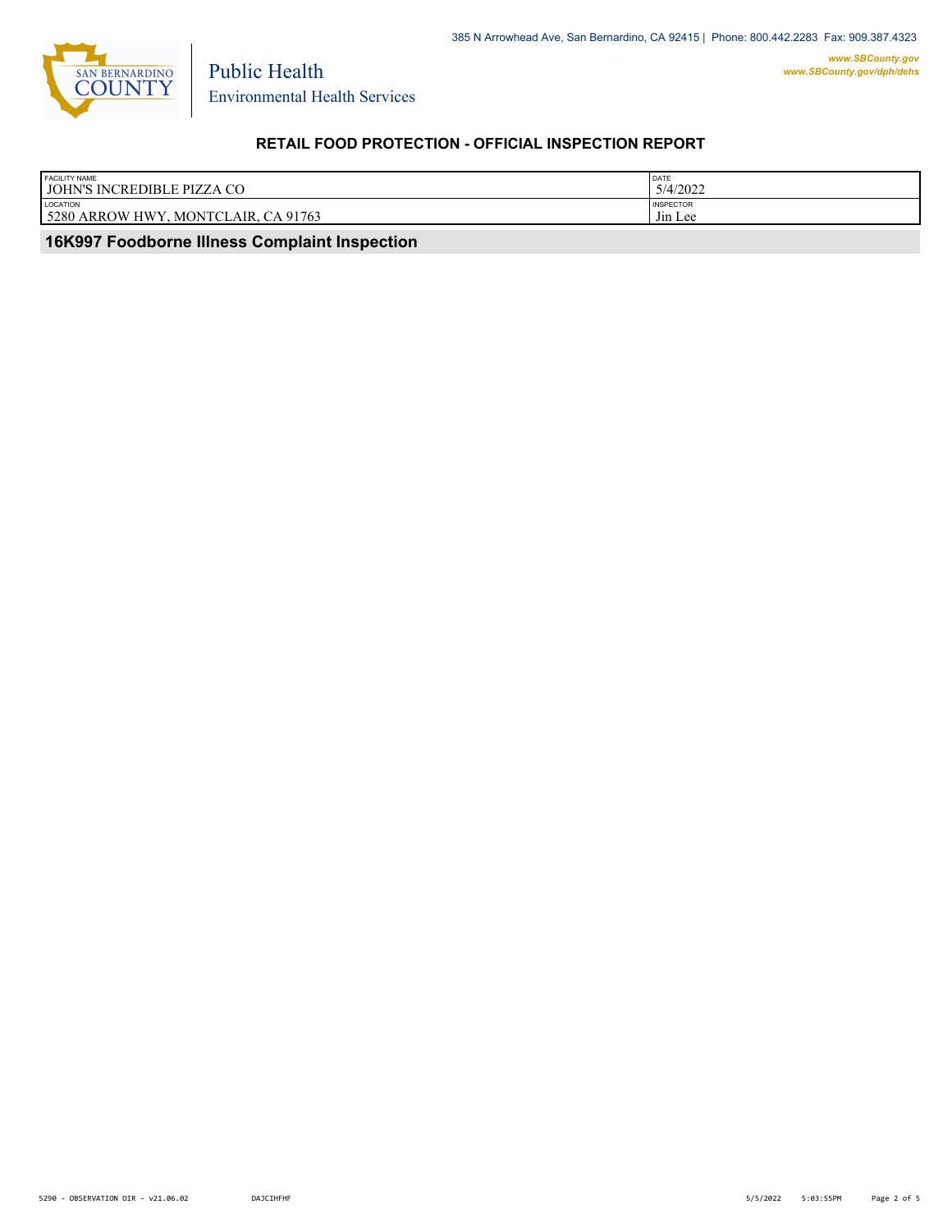

Environmental Health Services

Public Health

# **RETAIL FOOD PROTECTION - OFFICIAL INSPECTION REPORT**

| <b>LOCATION</b><br><b>INSPECTOR</b><br>5280 ARROW HWY<br>$-$<br>AIR. CA 91763<br><b>MONTCL</b><br>J <sub>in</sub> Lee | <b>FACILITY NAME</b><br>JOHN'S INCREDIBLE PIZZA CO | <b>DATE</b><br>5/4/2022 |
|-----------------------------------------------------------------------------------------------------------------------|----------------------------------------------------|-------------------------|
|                                                                                                                       |                                                    |                         |

 **16K997 Foodborne Illness Complaint Inspection**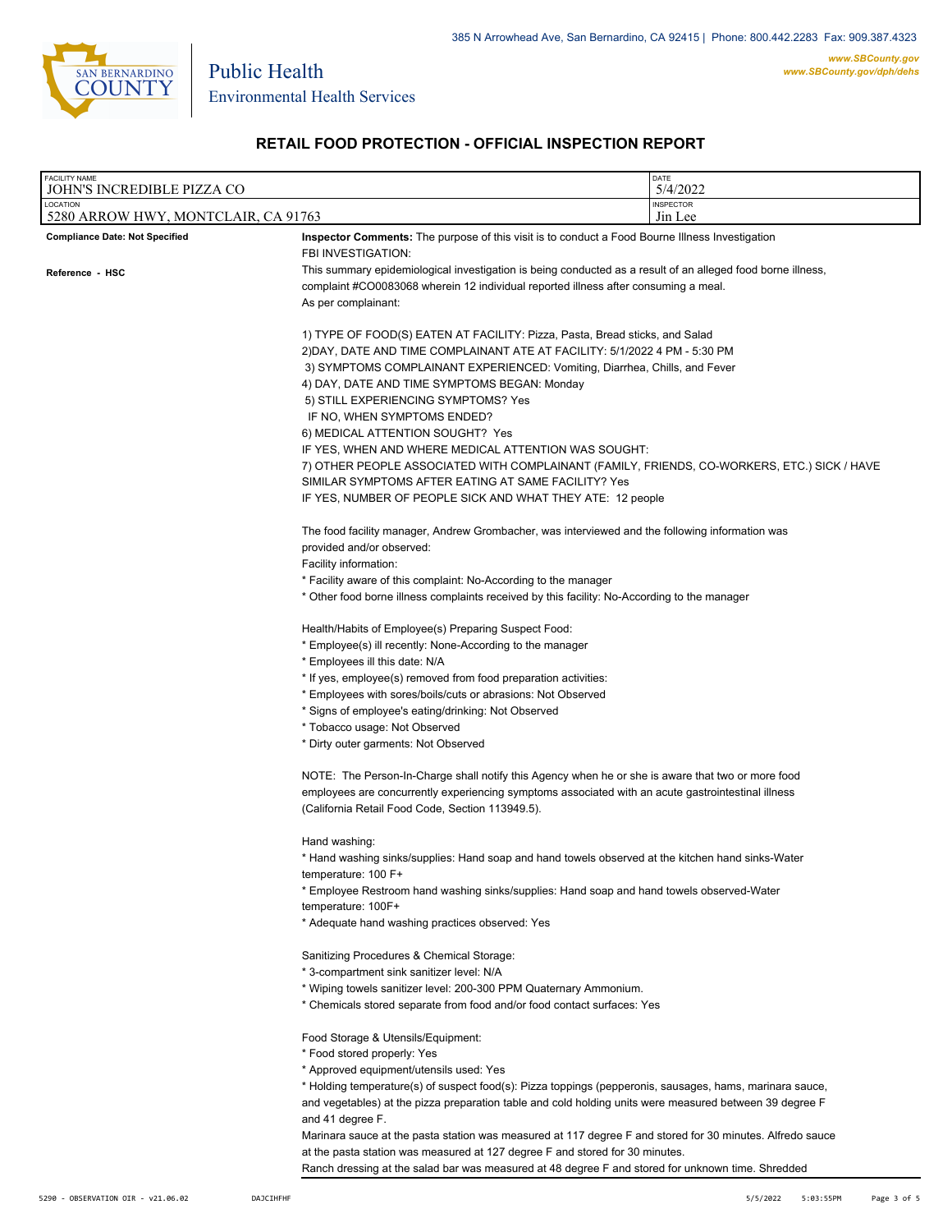

Public Health

# **RETAIL FOOD PROTECTION - OFFICIAL INSPECTION REPORT**

| <b>FACILITY NAME</b><br>JOHN'S INCREDIBLE PIZZA CO |                                                                                                                                                                                                                                                                                                                                                                                                                                                                                                                                                                                                                                                           | DATE<br>5/4/2022                                                                            |
|----------------------------------------------------|-----------------------------------------------------------------------------------------------------------------------------------------------------------------------------------------------------------------------------------------------------------------------------------------------------------------------------------------------------------------------------------------------------------------------------------------------------------------------------------------------------------------------------------------------------------------------------------------------------------------------------------------------------------|---------------------------------------------------------------------------------------------|
| LOCATION<br>5280 ARROW HWY, MONTCLAIR, CA 91763    |                                                                                                                                                                                                                                                                                                                                                                                                                                                                                                                                                                                                                                                           | <b>INSPECTOR</b><br>Jin Lee                                                                 |
| <b>Compliance Date: Not Specified</b>              | <b>Inspector Comments:</b> The purpose of this visit is to conduct a Food Bourne Illness Investigation<br>FBI INVESTIGATION:                                                                                                                                                                                                                                                                                                                                                                                                                                                                                                                              |                                                                                             |
| Reference - HSC                                    | This summary epidemiological investigation is being conducted as a result of an alleged food borne illness,<br>complaint #CO0083068 wherein 12 individual reported illness after consuming a meal.<br>As per complainant:                                                                                                                                                                                                                                                                                                                                                                                                                                 |                                                                                             |
|                                                    | 1) TYPE OF FOOD(S) EATEN AT FACILITY: Pizza, Pasta, Bread sticks, and Salad<br>2)DAY, DATE AND TIME COMPLAINANT ATE AT FACILITY: 5/1/2022 4 PM - 5:30 PM<br>3) SYMPTOMS COMPLAINANT EXPERIENCED: Vomiting, Diarrhea, Chills, and Fever<br>4) DAY, DATE AND TIME SYMPTOMS BEGAN: Monday<br>5) STILL EXPERIENCING SYMPTOMS? Yes<br>IF NO, WHEN SYMPTOMS ENDED?<br>6) MEDICAL ATTENTION SOUGHT? Yes<br>IF YES, WHEN AND WHERE MEDICAL ATTENTION WAS SOUGHT:                                                                                                                                                                                                  | 7) OTHER PEOPLE ASSOCIATED WITH COMPLAINANT (FAMILY, FRIENDS, CO-WORKERS, ETC.) SICK / HAVE |
|                                                    | SIMILAR SYMPTOMS AFTER EATING AT SAME FACILITY? Yes<br>IF YES, NUMBER OF PEOPLE SICK AND WHAT THEY ATE: 12 people                                                                                                                                                                                                                                                                                                                                                                                                                                                                                                                                         |                                                                                             |
|                                                    | The food facility manager, Andrew Grombacher, was interviewed and the following information was<br>provided and/or observed:<br>Facility information:<br>* Facility aware of this complaint: No-According to the manager<br>* Other food borne illness complaints received by this facility: No-According to the manager                                                                                                                                                                                                                                                                                                                                  |                                                                                             |
|                                                    | Health/Habits of Employee(s) Preparing Suspect Food:<br>* Employee(s) ill recently: None-According to the manager<br>* Employees ill this date: N/A<br>* If yes, employee(s) removed from food preparation activities:<br>* Employees with sores/boils/cuts or abrasions: Not Observed<br>* Signs of employee's eating/drinking: Not Observed<br>* Tobacco usage: Not Observed<br>* Dirty outer garments: Not Observed                                                                                                                                                                                                                                    |                                                                                             |
|                                                    | NOTE: The Person-In-Charge shall notify this Agency when he or she is aware that two or more food<br>employees are concurrently experiencing symptoms associated with an acute gastrointestinal illness<br>(California Retail Food Code, Section 113949.5).                                                                                                                                                                                                                                                                                                                                                                                               |                                                                                             |
|                                                    | Hand washing:<br>* Hand washing sinks/supplies: Hand soap and hand towels observed at the kitchen hand sinks-Water<br>temperature: 100 F+<br>* Employee Restroom hand washing sinks/supplies: Hand soap and hand towels observed-Water<br>temperature: 100F+<br>* Adequate hand washing practices observed: Yes                                                                                                                                                                                                                                                                                                                                           |                                                                                             |
|                                                    | Sanitizing Procedures & Chemical Storage:<br>* 3-compartment sink sanitizer level: N/A<br>* Wiping towels sanitizer level: 200-300 PPM Quaternary Ammonium.<br>* Chemicals stored separate from food and/or food contact surfaces: Yes                                                                                                                                                                                                                                                                                                                                                                                                                    |                                                                                             |
|                                                    | Food Storage & Utensils/Equipment:<br>* Food stored properly: Yes<br>* Approved equipment/utensils used: Yes<br>* Holding temperature(s) of suspect food(s): Pizza toppings (pepperonis, sausages, hams, marinara sauce,<br>and vegetables) at the pizza preparation table and cold holding units were measured between 39 degree F<br>and 41 degree F.<br>Marinara sauce at the pasta station was measured at 117 degree F and stored for 30 minutes. Alfredo sauce<br>at the pasta station was measured at 127 degree F and stored for 30 minutes.<br>Ranch dressing at the salad bar was measured at 48 degree F and stored for unknown time. Shredded |                                                                                             |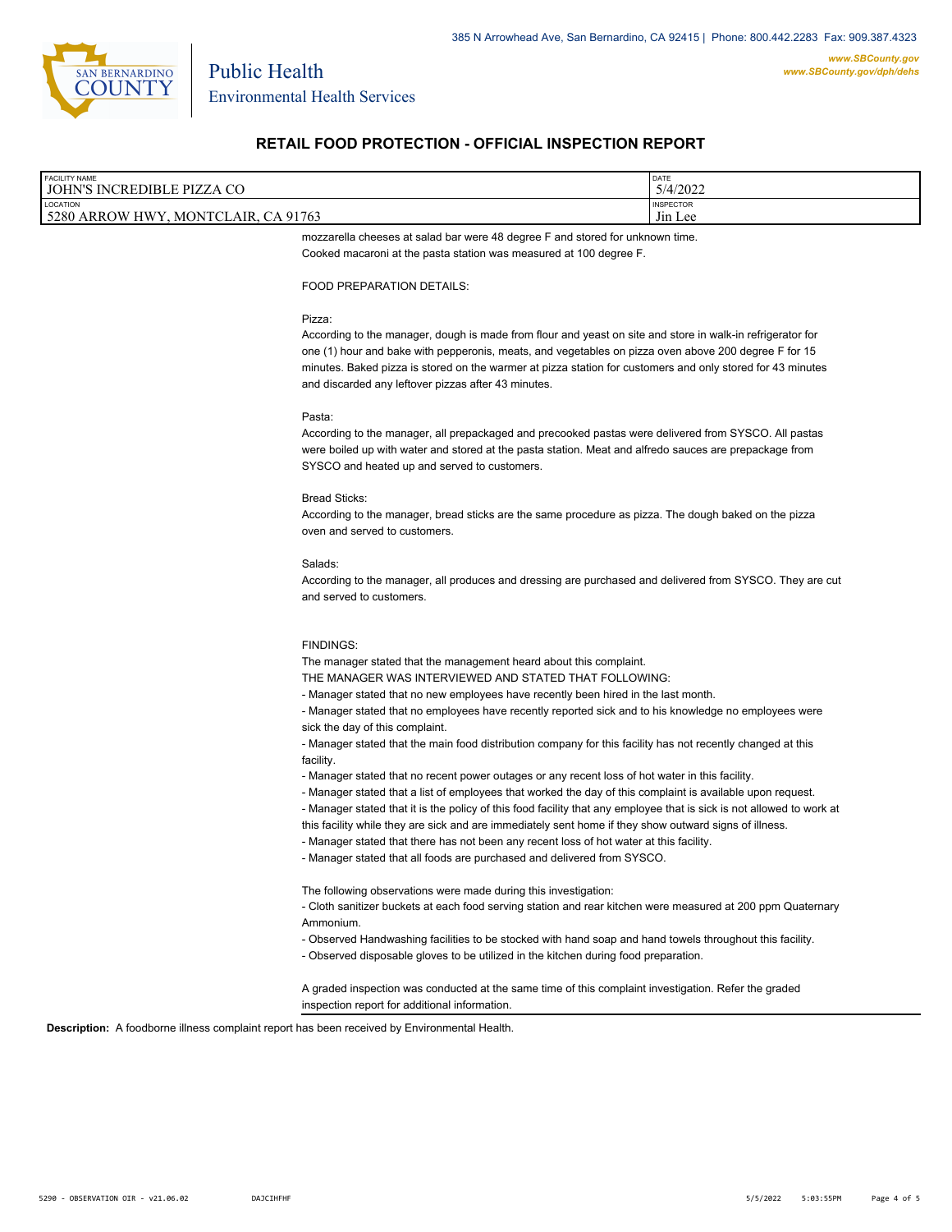

### **RETAIL FOOD PROTECTION - OFFICIAL INSPECTION REPORT**

| <b>FACILITY NAME</b>                                                                   | DATE                                            |
|----------------------------------------------------------------------------------------|-------------------------------------------------|
| JOHN'S INCREDIBLE PIZZA CO                                                             | 5/4/2022                                        |
| LOCATION<br>5280<br>. CA 91763<br><b>MONTCLA</b><br>AIR.<br><b>HWY</b><br><b>ARROW</b> | <b>INSPECTOR</b><br>$-1$<br>J <sub>11</sub> Lee |

mozzarella cheeses at salad bar were 48 degree F and stored for unknown time. Cooked macaroni at the pasta station was measured at 100 degree F.

#### FOOD PREPARATION DETAILS:

#### Pizza:

According to the manager, dough is made from flour and yeast on site and store in walk-in refrigerator for one (1) hour and bake with pepperonis, meats, and vegetables on pizza oven above 200 degree F for 15 minutes. Baked pizza is stored on the warmer at pizza station for customers and only stored for 43 minutes and discarded any leftover pizzas after 43 minutes.

#### Pasta:

According to the manager, all prepackaged and precooked pastas were delivered from SYSCO. All pastas were boiled up with water and stored at the pasta station. Meat and alfredo sauces are prepackage from SYSCO and heated up and served to customers.

#### Bread Sticks:

According to the manager, bread sticks are the same procedure as pizza. The dough baked on the pizza oven and served to customers.

#### Salads:

According to the manager, all produces and dressing are purchased and delivered from SYSCO. They are cut and served to customers.

#### FINDINGS:

The manager stated that the management heard about this complaint.

THE MANAGER WAS INTERVIEWED AND STATED THAT FOLLOWING:

- Manager stated that no new employees have recently been hired in the last month.

- Manager stated that no employees have recently reported sick and to his knowledge no employees were sick the day of this complaint.

- Manager stated that the main food distribution company for this facility has not recently changed at this facility.

- Manager stated that no recent power outages or any recent loss of hot water in this facility.
- Manager stated that a list of employees that worked the day of this complaint is available upon request.
- Manager stated that it is the policy of this food facility that any employee that is sick is not allowed to work at
- this facility while they are sick and are immediately sent home if they show outward signs of illness.
- Manager stated that there has not been any recent loss of hot water at this facility.
- Manager stated that all foods are purchased and delivered from SYSCO.

The following observations were made during this investigation:

- Cloth sanitizer buckets at each food serving station and rear kitchen were measured at 200 ppm Quaternary Ammonium.

- Observed Handwashing facilities to be stocked with hand soap and hand towels throughout this facility.
- Observed disposable gloves to be utilized in the kitchen during food preparation.

A graded inspection was conducted at the same time of this complaint investigation. Refer the graded inspection report for additional information.

**Description:** A foodborne illness complaint report has been received by Environmental Health.